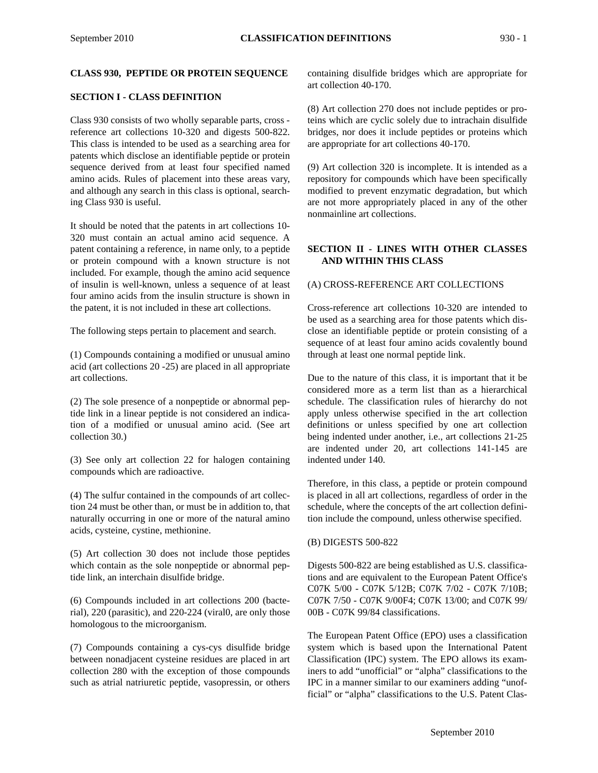#### **CLASS 930, PEPTIDE OR PROTEIN SEQUENCE**

#### **SECTION I - CLASS DEFINITION**

Class 930 consists of two wholly separable parts, cross reference art collections 10-320 and digests 500-822. This class is intended to be used as a searching area for patents which disclose an identifiable peptide or protein sequence derived from at least four specified named amino acids. Rules of placement into these areas vary, and although any search in this class is optional, searching Class 930 is useful.

It should be noted that the patents in art collections 10- 320 must contain an actual amino acid sequence. A patent containing a reference, in name only, to a peptide or protein compound with a known structure is not included. For example, though the amino acid sequence of insulin is well-known, unless a sequence of at least four amino acids from the insulin structure is shown in the patent, it is not included in these art collections.

The following steps pertain to placement and search.

(1) Compounds containing a modified or unusual amino acid (art collections 20 -25) are placed in all appropriate art collections.

(2) The sole presence of a nonpeptide or abnormal peptide link in a linear peptide is not considered an indication of a modified or unusual amino acid. (See art collection 30.)

(3) See only art collection 22 for halogen containing compounds which are radioactive.

(4) The sulfur contained in the compounds of art collection 24 must be other than, or must be in addition to, that naturally occurring in one or more of the natural amino acids, cysteine, cystine, methionine.

(5) Art collection 30 does not include those peptides which contain as the sole nonpeptide or abnormal peptide link, an interchain disulfide bridge.

(6) Compounds included in art collections 200 (bacterial), 220 (parasitic), and 220-224 (viral0, are only those homologous to the microorganism.

(7) Compounds containing a cys-cys disulfide bridge between nonadjacent cysteine residues are placed in art collection 280 with the exception of those compounds such as atrial natriuretic peptide, vasopressin, or others

containing disulfide bridges which are appropriate for art collection 40-170.

(8) Art collection 270 does not include peptides or proteins which are cyclic solely due to intrachain disulfide bridges, nor does it include peptides or proteins which are appropriate for art collections 40-170.

(9) Art collection 320 is incomplete. It is intended as a repository for compounds which have been specifically modified to prevent enzymatic degradation, but which are not more appropriately placed in any of the other nonmainline art collections.

# **SECTION II - LINES WITH OTHER CLASSES AND WITHIN THIS CLASS**

#### (A) CROSS-REFERENCE ART COLLECTIONS

Cross-reference art collections 10-320 are intended to be used as a searching area for those patents which disclose an identifiable peptide or protein consisting of a sequence of at least four amino acids covalently bound through at least one normal peptide link.

Due to the nature of this class, it is important that it be considered more as a term list than as a hierarchical schedule. The classification rules of hierarchy do not apply unless otherwise specified in the art collection definitions or unless specified by one art collection being indented under another, i.e., art collections 21-25 are indented under 20, art collections 141-145 are indented under 140.

Therefore, in this class, a peptide or protein compound is placed in all art collections, regardless of order in the schedule, where the concepts of the art collection definition include the compound, unless otherwise specified.

#### (B) DIGESTS 500-822

Digests 500-822 are being established as U.S. classifications and are equivalent to the European Patent Office's C07K 5/00 - C07K 5/12B; C07K 7/02 - C07K 7/10B; C07K 7/50 - C07K 9/00F4; C07K 13/00; and C07K 99/ 00B - C07K 99/84 classifications.

The European Patent Office (EPO) uses a classification system which is based upon the International Patent Classification (IPC) system. The EPO allows its examiners to add "unofficial" or "alpha" classifications to the IPC in a manner similar to our examiners adding "unofficial" or "alpha" classifications to the U.S. Patent Clas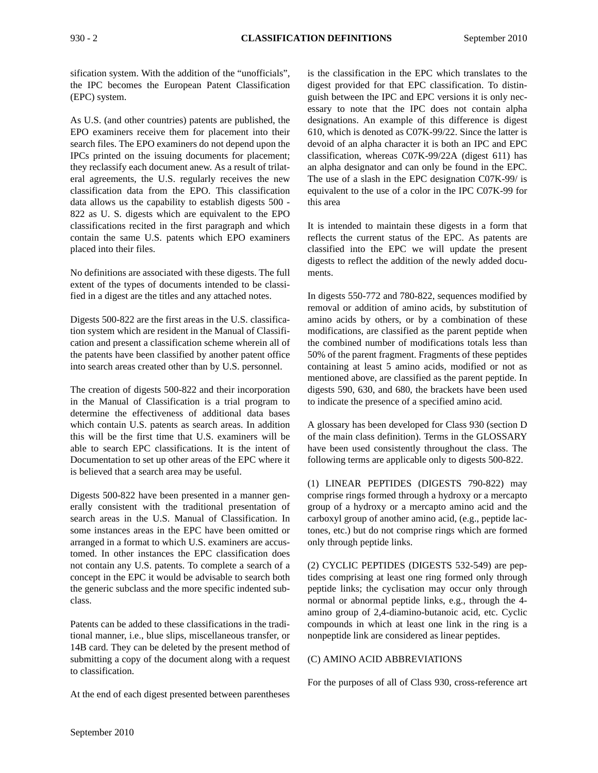sification system. With the addition of the "unofficials", the IPC becomes the European Patent Classification (EPC) system.

As U.S. (and other countries) patents are published, the EPO examiners receive them for placement into their search files. The EPO examiners do not depend upon the IPCs printed on the issuing documents for placement; they reclassify each document anew. As a result of trilateral agreements, the U.S. regularly receives the new classification data from the EPO. This classification data allows us the capability to establish digests 500 - 822 as U. S. digests which are equivalent to the EPO classifications recited in the first paragraph and which contain the same U.S. patents which EPO examiners placed into their files.

No definitions are associated with these digests. The full extent of the types of documents intended to be classified in a digest are the titles and any attached notes.

Digests 500-822 are the first areas in the U.S. classification system which are resident in the Manual of Classification and present a classification scheme wherein all of the patents have been classified by another patent office into search areas created other than by U.S. personnel.

The creation of digests 500-822 and their incorporation in the Manual of Classification is a trial program to determine the effectiveness of additional data bases which contain U.S. patents as search areas. In addition this will be the first time that U.S. examiners will be able to search EPC classifications. It is the intent of Documentation to set up other areas of the EPC where it is believed that a search area may be useful.

Digests 500-822 have been presented in a manner generally consistent with the traditional presentation of search areas in the U.S. Manual of Classification. In some instances areas in the EPC have been omitted or arranged in a format to which U.S. examiners are accustomed. In other instances the EPC classification does not contain any U.S. patents. To complete a search of a concept in the EPC it would be advisable to search both the generic subclass and the more specific indented subclass.

Patents can be added to these classifications in the traditional manner, i.e., blue slips, miscellaneous transfer, or 14B card. They can be deleted by the present method of submitting a copy of the document along with a request to classification.

At the end of each digest presented between parentheses

is the classification in the EPC which translates to the digest provided for that EPC classification. To distinguish between the IPC and EPC versions it is only necessary to note that the IPC does not contain alpha designations. An example of this difference is digest 610, which is denoted as C07K-99/22. Since the latter is devoid of an alpha character it is both an IPC and EPC classification, whereas C07K-99/22A (digest 611) has an alpha designator and can only be found in the EPC. The use of a slash in the EPC designation C07K-99/ is equivalent to the use of a color in the IPC C07K-99 for this area

It is intended to maintain these digests in a form that reflects the current status of the EPC. As patents are classified into the EPC we will update the present digests to reflect the addition of the newly added documents.

In digests 550-772 and 780-822, sequences modified by removal or addition of amino acids, by substitution of amino acids by others, or by a combination of these modifications, are classified as the parent peptide when the combined number of modifications totals less than 50% of the parent fragment. Fragments of these peptides containing at least 5 amino acids, modified or not as mentioned above, are classified as the parent peptide. In digests 590, 630, and 680, the brackets have been used to indicate the presence of a specified amino acid.

A glossary has been developed for Class 930 (section D of the main class definition). Terms in the GLOSSARY have been used consistently throughout the class. The following terms are applicable only to digests 500-822.

(1) LINEAR PEPTIDES (DIGESTS 790-822) may comprise rings formed through a hydroxy or a mercapto group of a hydroxy or a mercapto amino acid and the carboxyl group of another amino acid, (e.g., peptide lactones, etc.) but do not comprise rings which are formed only through peptide links.

(2) CYCLIC PEPTIDES (DIGESTS 532-549) are peptides comprising at least one ring formed only through peptide links; the cyclisation may occur only through normal or abnormal peptide links, e.g., through the 4 amino group of 2,4-diamino-butanoic acid, etc. Cyclic compounds in which at least one link in the ring is a nonpeptide link are considered as linear peptides.

#### (C) AMINO ACID ABBREVIATIONS

For the purposes of all of Class 930, cross-reference art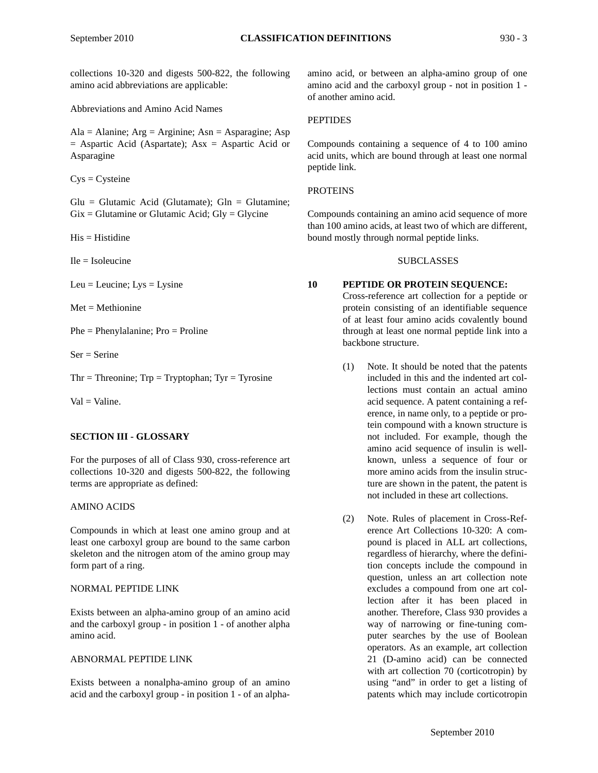collections 10-320 and digests 500-822, the following amino acid abbreviations are applicable:

Abbreviations and Amino Acid Names

 $Ala = Alanine$ ;  $Arg = Arginine$ ;  $Asn = Asparagine$ ;  $Asp$  $=$  Aspartic Acid (Aspartate); Asx  $=$  Aspartic Acid or Asparagine

 $Cys = Cysteine$ 

 $Glu = Glutamic$  Acid (Glutamate);  $Gln = Glutamine$ ;  $Gix = Glutamine$  or Glutamic Acid;  $Gly = Glycine$ 

 $His = Histidine$ 

 $I = Isoleu$ cine

Leu = Leucine;  $Lys = Lysine$ 

 $Met = Methionine$ 

Phe = Phenylalanine; Pro = Proline

 $Ser =$  Serine

 $Thr = Threonine; Trp = Tryptophan; Tyr = Tyrosine$ 

 $Val = Valine.$ 

#### **SECTION III - GLOSSARY**

For the purposes of all of Class 930, cross-reference art collections 10-320 and digests 500-822, the following terms are appropriate as defined:

#### AMINO ACIDS

Compounds in which at least one amino group and at least one carboxyl group are bound to the same carbon skeleton and the nitrogen atom of the amino group may form part of a ring.

#### NORMAL PEPTIDE LINK

Exists between an alpha-amino group of an amino acid and the carboxyl group - in position 1 - of another alpha amino acid.

#### ABNORMAL PEPTIDE LINK

Exists between a nonalpha-amino group of an amino acid and the carboxyl group - in position 1 - of an alphaamino acid, or between an alpha-amino group of one amino acid and the carboxyl group - not in position 1 of another amino acid.

## **PEPTIDES**

Compounds containing a sequence of 4 to 100 amino acid units, which are bound through at least one normal peptide link.

#### PROTEINS

Compounds containing an amino acid sequence of more than 100 amino acids, at least two of which are different, bound mostly through normal peptide links.

#### SUBCLASSES

#### **10 PEPTIDE OR PROTEIN SEQUENCE:**

Cross-reference art collection for a peptide or protein consisting of an identifiable sequence of at least four amino acids covalently bound through at least one normal peptide link into a backbone structure.

- (1) Note. It should be noted that the patents included in this and the indented art collections must contain an actual amino acid sequence. A patent containing a reference, in name only, to a peptide or protein compound with a known structure is not included. For example, though the amino acid sequence of insulin is wellknown, unless a sequence of four or more amino acids from the insulin structure are shown in the patent, the patent is not included in these art collections.
- (2) Note. Rules of placement in Cross-Reference Art Collections 10-320: A compound is placed in ALL art collections, regardless of hierarchy, where the definition concepts include the compound in question, unless an art collection note excludes a compound from one art collection after it has been placed in another. Therefore, Class 930 provides a way of narrowing or fine-tuning computer searches by the use of Boolean operators. As an example, art collection 21 (D-amino acid) can be connected with art collection 70 (corticotropin) by using "and" in order to get a listing of patents which may include corticotropin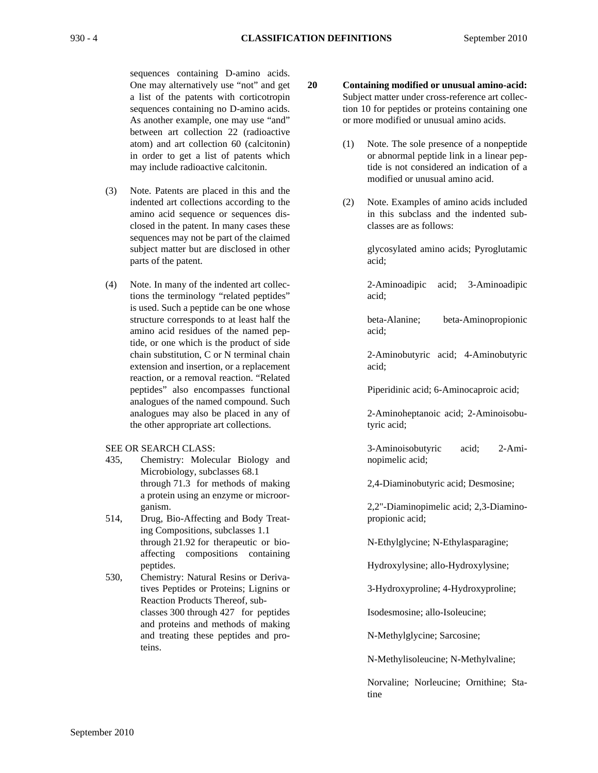sequences containing D-amino acids. One may alternatively use "not" and get a list of the patents with corticotropin sequences containing no D-amino acids. As another example, one may use "and" between art collection 22 (radioactive atom) and art collection 60 (calcitonin) in order to get a list of patents which may include radioactive calcitonin.

- (3) Note. Patents are placed in this and the indented art collections according to the amino acid sequence or sequences disclosed in the patent. In many cases these sequences may not be part of the claimed subject matter but are disclosed in other parts of the patent.
- (4) Note. In many of the indented art collections the terminology "related peptides" is used. Such a peptide can be one whose structure corresponds to at least half the amino acid residues of the named peptide, or one which is the product of side chain substitution, C or N terminal chain extension and insertion, or a replacement reaction, or a removal reaction. "Related peptides" also encompasses functional analogues of the named compound. Such analogues may also be placed in any of the other appropriate art collections.

SEE OR SEARCH CLASS:

- 435, Chemistry: Molecular Biology and Microbiology, subclasses 68.1 through 71.3 for methods of making a protein using an enzyme or microorganism.
- 514, Drug, Bio-Affecting and Body Treating Compositions, subclasses 1.1 through 21.92 for therapeutic or bioaffecting compositions containing peptides.
- 530, Chemistry: Natural Resins or Derivatives Peptides or Proteins; Lignins or Reaction Products Thereof, subclasses 300 through 427 for peptides and proteins and methods of making and treating these peptides and proteins.

**20 Containing modified or unusual amino-acid:** Subject matter under cross-reference art collection 10 for peptides or proteins containing one or more modified or unusual amino acids.

- (1) Note. The sole presence of a nonpeptide or abnormal peptide link in a linear peptide is not considered an indication of a modified or unusual amino acid.
- (2) Note. Examples of amino acids included in this subclass and the indented subclasses are as follows:

glycosylated amino acids; Pyroglutamic acid;

2-Aminoadipic acid; 3-Aminoadipic acid;

beta-Alanine; beta-Aminopropionic acid;

2-Aminobutyric acid; 4-Aminobutyric acid;

Piperidinic acid; 6-Aminocaproic acid;

2-Aminoheptanoic acid; 2-Aminoisobutyric acid;

3-Aminoisobutyric acid; 2-Aminopimelic acid;

2,4-Diaminobutyric acid; Desmosine;

2,2"-Diaminopimelic acid; 2,3-Diaminopropionic acid;

N-Ethylglycine; N-Ethylasparagine;

Hydroxylysine; allo-Hydroxylysine;

3-Hydroxyproline; 4-Hydroxyproline;

Isodesmosine; allo-Isoleucine;

N-Methylglycine; Sarcosine;

N-Methylisoleucine; N-Methylvaline;

Norvaline; Norleucine; Ornithine; Statine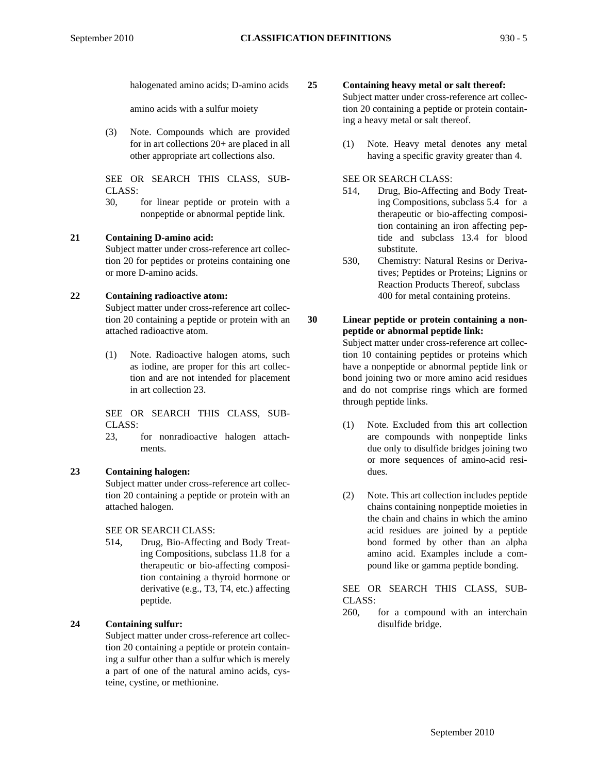halogenated amino acids; D-amino acids

amino acids with a sulfur moiety

(3) Note. Compounds which are provided for in art collections 20+ are placed in all other appropriate art collections also.

SEE OR SEARCH THIS CLASS, SUB-CLASS:

30, for linear peptide or protein with a nonpeptide or abnormal peptide link.

#### **21 Containing D-amino acid:**

Subject matter under cross-reference art collection 20 for peptides or proteins containing one or more D-amino acids.

#### **22 Containing radioactive atom:**

Subject matter under cross-reference art collection 20 containing a peptide or protein with an attached radioactive atom.

(1) Note. Radioactive halogen atoms, such as iodine, are proper for this art collection and are not intended for placement in art collection 23.

SEE OR SEARCH THIS CLASS, SUB-CLASS:

23, for nonradioactive halogen attachments.

## **23 Containing halogen:**

Subject matter under cross-reference art collection 20 containing a peptide or protein with an attached halogen.

SEE OR SEARCH CLASS:

514, Drug, Bio-Affecting and Body Treating Compositions, subclass 11.8 for a therapeutic or bio-affecting composition containing a thyroid hormone or derivative (e.g., T3, T4, etc.) affecting peptide.

# **24 Containing sulfur:**

Subject matter under cross-reference art collection 20 containing a peptide or protein containing a sulfur other than a sulfur which is merely a part of one of the natural amino acids, cysteine, cystine, or methionine.

# **25 Containing heavy metal or salt thereof:**

Subject matter under cross-reference art collection 20 containing a peptide or protein containing a heavy metal or salt thereof.

(1) Note. Heavy metal denotes any metal having a specific gravity greater than 4.

SEE OR SEARCH CLASS:

- 514, Drug, Bio-Affecting and Body Treating Compositions, subclass 5.4 for a therapeutic or bio-affecting composition containing an iron affecting peptide and subclass 13.4 for blood substitute.
- 530, Chemistry: Natural Resins or Derivatives; Peptides or Proteins; Lignins or Reaction Products Thereof, subclass 400 for metal containing proteins.
- **30 Linear peptide or protein containing a nonpeptide or abnormal peptide link:** Subject matter under cross-reference art collection 10 containing peptides or proteins which have a nonpeptide or abnormal peptide link or bond joining two or more amino acid residues and do not comprise rings which are formed through peptide links.
	- (1) Note. Excluded from this art collection are compounds with nonpeptide links due only to disulfide bridges joining two or more sequences of amino-acid residues.
	- (2) Note. This art collection includes peptide chains containing nonpeptide moieties in the chain and chains in which the amino acid residues are joined by a peptide bond formed by other than an alpha amino acid. Examples include a compound like or gamma peptide bonding.

SEE OR SEARCH THIS CLASS, SUB-CLASS:

260, for a compound with an interchain disulfide bridge.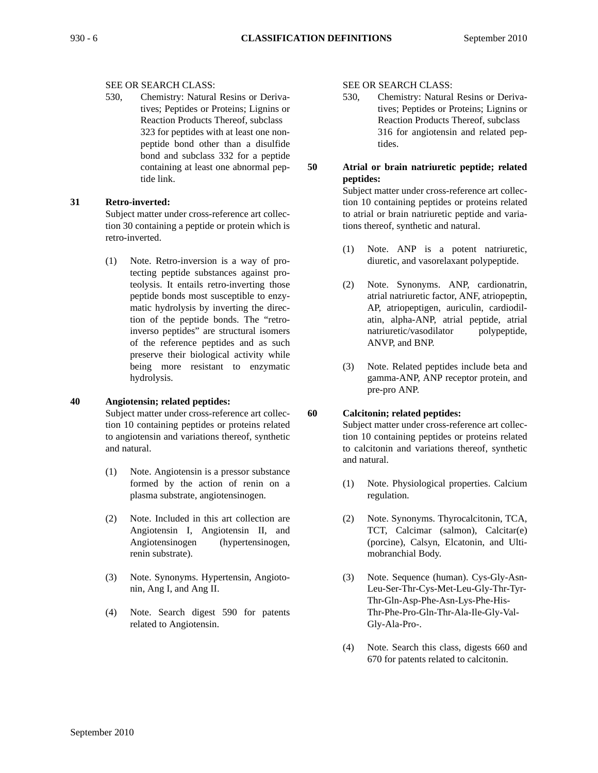#### SEE OR SEARCH CLASS:

530, Chemistry: Natural Resins or Derivatives; Peptides or Proteins; Lignins or Reaction Products Thereof, subclass 323 for peptides with at least one nonpeptide bond other than a disulfide bond and subclass 332 for a peptide containing at least one abnormal peptide link.

## **31 Retro-inverted:**

Subject matter under cross-reference art collection 30 containing a peptide or protein which is retro-inverted.

(1) Note. Retro-inversion is a way of protecting peptide substances against proteolysis. It entails retro-inverting those peptide bonds most susceptible to enzymatic hydrolysis by inverting the direction of the peptide bonds. The "retroinverso peptides" are structural isomers of the reference peptides and as such preserve their biological activity while being more resistant to enzymatic hydrolysis.

#### **40 Angiotensin; related peptides:**

Subject matter under cross-reference art collection 10 containing peptides or proteins related to angiotensin and variations thereof, synthetic and natural.

- (1) Note. Angiotensin is a pressor substance formed by the action of renin on a plasma substrate, angiotensinogen.
- (2) Note. Included in this art collection are Angiotensin I, Angiotensin II, and Angiotensinogen (hypertensinogen, renin substrate).
- (3) Note. Synonyms. Hypertensin, Angiotonin, Ang I, and Ang II.
- (4) Note. Search digest 590 for patents related to Angiotensin.

SEE OR SEARCH CLASS:

- 530, Chemistry: Natural Resins or Derivatives; Peptides or Proteins; Lignins or Reaction Products Thereof, subclass 316 for angiotensin and related peptides.
- 

# **50 Atrial or brain natriuretic peptide; related peptides:**

Subject matter under cross-reference art collection 10 containing peptides or proteins related to atrial or brain natriuretic peptide and variations thereof, synthetic and natural.

- (1) Note. ANP is a potent natriuretic, diuretic, and vasorelaxant polypeptide.
- (2) Note. Synonyms. ANP, cardionatrin, atrial natriuretic factor, ANF, atriopeptin, AP, atriopeptigen, auriculin, cardiodilatin, alpha-ANP, atrial peptide, atrial natriuretic/vasodilator polypeptide, ANVP, and BNP.
- (3) Note. Related peptides include beta and gamma-ANP, ANP receptor protein, and pre-pro ANP.

# **60 Calcitonin; related peptides:**

Subject matter under cross-reference art collection 10 containing peptides or proteins related to calcitonin and variations thereof, synthetic and natural.

- (1) Note. Physiological properties. Calcium regulation.
- (2) Note. Synonyms. Thyrocalcitonin, TCA, TCT, Calcimar (salmon), Calcitar(e) (porcine), Calsyn, Elcatonin, and Ultimobranchial Body.
- (3) Note. Sequence (human). Cys-Gly-Asn-Leu-Ser-Thr-Cys-Met-Leu-Gly-Thr-Tyr-Thr-Gln-Asp-Phe-Asn-Lys-Phe-His-Thr-Phe-Pro-Gln-Thr-Ala-Ile-Gly-Val-Gly-Ala-Pro-.
- (4) Note. Search this class, digests 660 and 670 for patents related to calcitonin.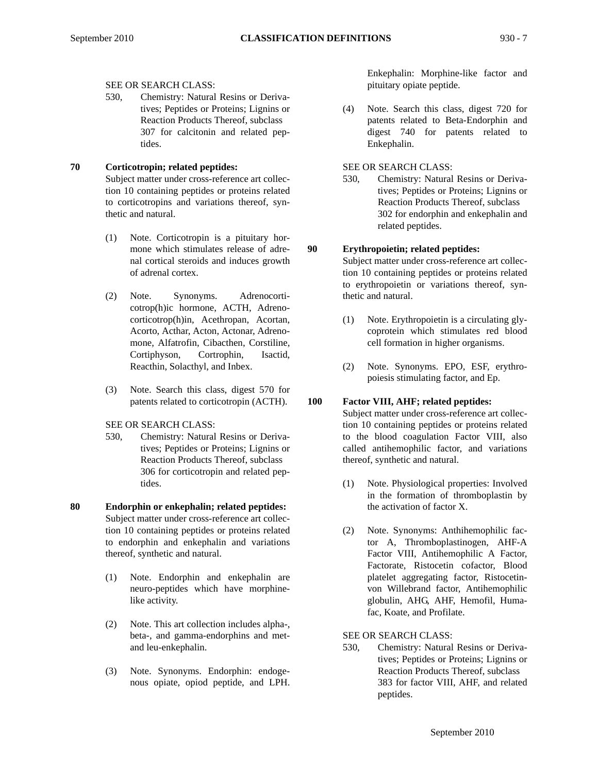#### SEE OR SEARCH CLASS:

530, Chemistry: Natural Resins or Derivatives; Peptides or Proteins; Lignins or Reaction Products Thereof, subclass 307 for calcitonin and related peptides.

# **70 Corticotropin; related peptides:**

Subject matter under cross-reference art collection 10 containing peptides or proteins related to corticotropins and variations thereof, synthetic and natural.

- (1) Note. Corticotropin is a pituitary hormone which stimulates release of adrenal cortical steroids and induces growth of adrenal cortex.
- (2) Note. Synonyms. Adrenocorticotrop(h)ic hormone, ACTH, Adrenocorticotrop(h)in, Acethropan, Acortan, Acorto, Acthar, Acton, Actonar, Adrenomone, Alfatrofin, Cibacthen, Corstiline, Cortiphyson, Cortrophin, Isactid, Reacthin, Solacthyl, and Inbex.
- (3) Note. Search this class, digest 570 for patents related to corticotropin (ACTH).
- SEE OR SEARCH CLASS:
- 530, Chemistry: Natural Resins or Derivatives; Peptides or Proteins; Lignins or Reaction Products Thereof, subclass 306 for corticotropin and related peptides.
- **80 Endorphin or enkephalin; related peptides:** Subject matter under cross-reference art collection 10 containing peptides or proteins related to endorphin and enkephalin and variations thereof, synthetic and natural.
	- (1) Note. Endorphin and enkephalin are neuro-peptides which have morphinelike activity.
	- (2) Note. This art collection includes alpha-, beta-, and gamma-endorphins and metand leu-enkephalin.
	- (3) Note. Synonyms. Endorphin: endogenous opiate, opiod peptide, and LPH.

Enkephalin: Morphine-like factor and pituitary opiate peptide.

- (4) Note. Search this class, digest 720 for patents related to Beta-Endorphin and digest 740 for patents related to Enkephalin.
- SEE OR SEARCH CLASS:
- 530, Chemistry: Natural Resins or Derivatives; Peptides or Proteins; Lignins or Reaction Products Thereof, subclass 302 for endorphin and enkephalin and related peptides.

# **90 Erythropoietin; related peptides:**

Subject matter under cross-reference art collection 10 containing peptides or proteins related to erythropoietin or variations thereof, synthetic and natural.

- (1) Note. Erythropoietin is a circulating glycoprotein which stimulates red blood cell formation in higher organisms.
- (2) Note. Synonyms. EPO, ESF, erythropoiesis stimulating factor, and Ep.

#### **100 Factor VIII, AHF; related peptides:**

Subject matter under cross-reference art collection 10 containing peptides or proteins related to the blood coagulation Factor VIII, also called antihemophilic factor, and variations thereof, synthetic and natural.

- (1) Note. Physiological properties: Involved in the formation of thromboplastin by the activation of factor X.
- (2) Note. Synonyms: Anthihemophilic factor A, Thromboplastinogen, AHF-A Factor VIII, Antihemophilic A Factor, Factorate, Ristocetin cofactor, Blood platelet aggregating factor, Ristocetinvon Willebrand factor, Antihemophilic globulin, AHG, AHF, Hemofil, Humafac, Koate, and Profilate.
- SEE OR SEARCH CLASS:
- 530, Chemistry: Natural Resins or Derivatives; Peptides or Proteins; Lignins or Reaction Products Thereof, subclass 383 for factor VIII, AHF, and related peptides.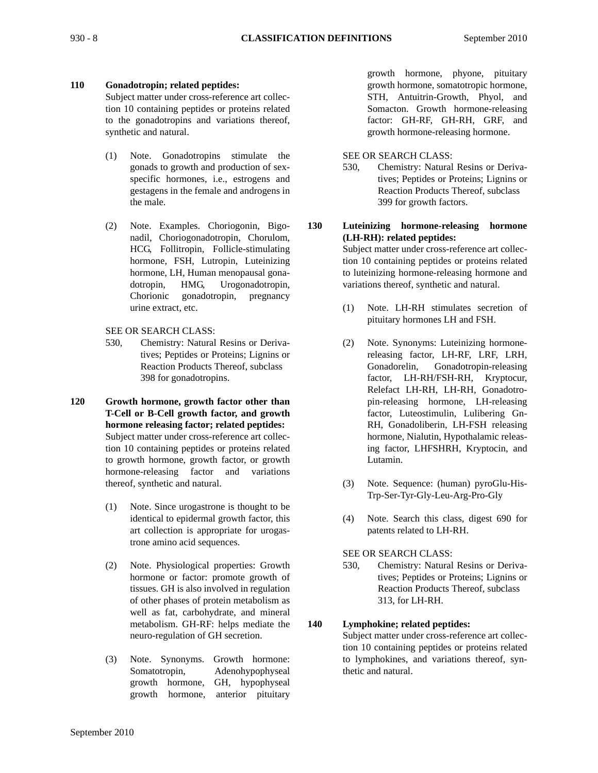# **110 Gonadotropin; related peptides:**

Subject matter under cross-reference art collection 10 containing peptides or proteins related to the gonadotropins and variations thereof, synthetic and natural.

- (1) Note. Gonadotropins stimulate the gonads to growth and production of sexspecific hormones, i.e., estrogens and gestagens in the female and androgens in the male.
- (2) Note. Examples. Choriogonin, Bigonadil, Choriogonadotropin, Chorulom, HCG, Follitropin, Follicle-stimulating hormone, FSH, Lutropin, Luteinizing hormone, LH, Human menopausal gonadotropin, HMG, Urogonadotropin, Chorionic gonadotropin, pregnancy urine extract, etc.

SEE OR SEARCH CLASS:

- 530, Chemistry: Natural Resins or Derivatives; Peptides or Proteins; Lignins or Reaction Products Thereof, subclass 398 for gonadotropins.
- **120 Growth hormone, growth factor other than T-Cell or B-Cell growth factor, and growth hormone releasing factor; related peptides:** Subject matter under cross-reference art collection 10 containing peptides or proteins related to growth hormone, growth factor, or growth hormone-releasing factor and variations thereof, synthetic and natural.
	- (1) Note. Since urogastrone is thought to be identical to epidermal growth factor, this art collection is appropriate for urogastrone amino acid sequences.
	- (2) Note. Physiological properties: Growth hormone or factor: promote growth of tissues. GH is also involved in regulation of other phases of protein metabolism as well as fat, carbohydrate, and mineral metabolism. GH-RF: helps mediate the neuro-regulation of GH secretion.
	- (3) Note. Synonyms. Growth hormone: Somatotropin, Adenohypophyseal growth hormone, GH, hypophyseal growth hormone, anterior pituitary

growth hormone, phyone, pituitary growth hormone, somatotropic hormone, STH, Antuitrin-Growth, Phyol, and Somacton. Growth hormone-releasing factor: GH-RF, GH-RH, GRF, and growth hormone-releasing hormone.

## SEE OR SEARCH CLASS:

530, Chemistry: Natural Resins or Derivatives; Peptides or Proteins; Lignins or Reaction Products Thereof, subclass 399 for growth factors.

**130 Luteinizing hormone-releasing hormone (LH-RH): related peptides:**

> Subject matter under cross-reference art collection 10 containing peptides or proteins related to luteinizing hormone-releasing hormone and variations thereof, synthetic and natural.

- (1) Note. LH-RH stimulates secretion of pituitary hormones LH and FSH.
- (2) Note. Synonyms: Luteinizing hormonereleasing factor, LH-RF, LRF, LRH, Gonadorelin, Gonadotropin-releasing factor, LH-RH/FSH-RH, Kryptocur, Relefact LH-RH, LH-RH, Gonadotropin-releasing hormone, LH-releasing factor, Luteostimulin, Lulibering Gn-RH, Gonadoliberin, LH-FSH releasing hormone, Nialutin, Hypothalamic releasing factor, LHFSHRH, Kryptocin, and Lutamin.
- (3) Note. Sequence: (human) pyroGlu-His-Trp-Ser-Tyr-Gly-Leu-Arg-Pro-Gly
- (4) Note. Search this class, digest 690 for patents related to LH-RH.
- SEE OR SEARCH CLASS:
- 530, Chemistry: Natural Resins or Derivatives; Peptides or Proteins; Lignins or Reaction Products Thereof, subclass 313, for LH-RH.

# **140 Lymphokine; related peptides:**

Subject matter under cross-reference art collection 10 containing peptides or proteins related to lymphokines, and variations thereof, synthetic and natural.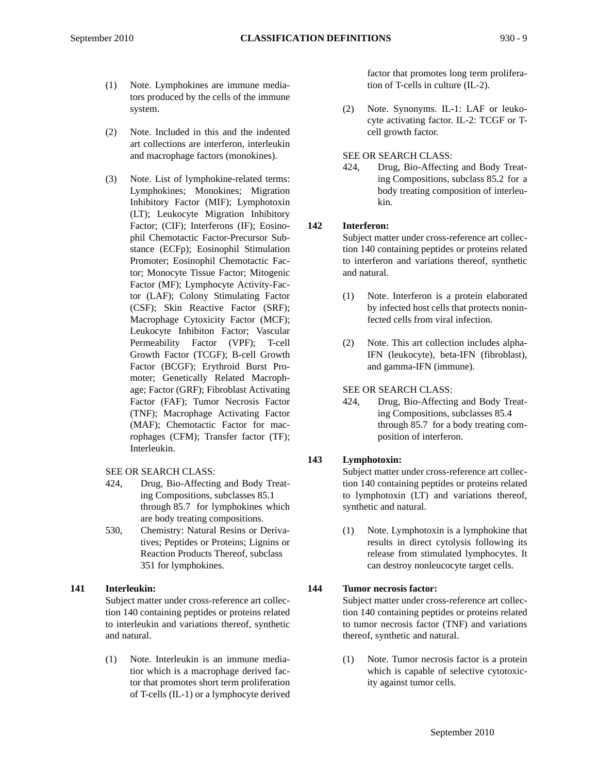- (1) Note. Lymphokines are immune mediators produced by the cells of the immune system.
- (2) Note. Included in this and the indented art collections are interferon, interleukin and macrophage factors (monokines).
- (3) Note. List of lymphokine-related terms: Lymphokines; Monokines; Migration Inhibitory Factor (MIF); Lymphotoxin (LT); Leukocyte Migration Inhibitory Factor; (CIF); Interferons (IF); Eosinophil Chemotactic Factor-Precursor Substance (ECFp); Eosinophil Stimulation Promoter; Eosinophil Chemotactic Factor; Monocyte Tissue Factor; Mitogenic Factor (MF); Lymphocyte Activity-Factor (LAF); Colony Stimulating Factor (CSF); Skin Reactive Factor (SRF); Macrophage Cytoxicity Factor (MCF); Leukocyte Inhibiton Factor; Vascular Permeability Factor (VPF); T-cell Growth Factor (TCGF); B-cell Growth Factor (BCGF); Erythroid Burst Promoter; Genetically Related Macrophage; Factor (GRF); Fibroblast Activating Factor (FAF); Tumor Necrosis Factor (TNF); Macrophage Activating Factor (MAF); Chemotactic Factor for macrophages (CFM); Transfer factor (TF); Interleukin.

# SEE OR SEARCH CLASS:

- 424, Drug, Bio-Affecting and Body Treating Compositions, subclasses 85.1 through 85.7 for lymphokines which are body treating compositions.
- 530, Chemistry: Natural Resins or Derivatives; Peptides or Proteins; Lignins or Reaction Products Thereof, subclass 351 for lymphokines.

# **141 Interleukin:**

Subject matter under cross-reference art collection 140 containing peptides or proteins related to interleukin and variations thereof, synthetic and natural.

(1) Note. Interleukin is an immune mediatior which is a macrophage derived factor that promotes short term proliferation of T-cells (IL-1) or a lymphocyte derived factor that promotes long term proliferation of T-cells in culture (IL-2).

(2) Note. Synonyms. IL-1: LAF or leukocyte activating factor. IL-2: TCGF or Tcell growth factor.

# SEE OR SEARCH CLASS:

424, Drug, Bio-Affecting and Body Treating Compositions, subclass 85.2 for a body treating composition of interleukin.

# **142 Interferon:**

Subject matter under cross-reference art collection 140 containing peptides or proteins related to interferon and variations thereof, synthetic and natural.

- (1) Note. Interferon is a protein elaborated by infected host cells that protects noninfected cells from viral infection.
- (2) Note. This art collection includes alpha-IFN (leukocyte), beta-IFN (fibroblast), and gamma-IFN (immune).

# SEE OR SEARCH CLASS:

424, Drug, Bio-Affecting and Body Treating Compositions, subclasses 85.4 through 85.7 for a body treating composition of interferon.

# **143 Lymphotoxin:**

Subject matter under cross-reference art collection 140 containing peptides or proteins related to lymphotoxin (LT) and variations thereof, synthetic and natural.

(1) Note. Lymphotoxin is a lymphokine that results in direct cytolysis following its release from stimulated lymphocytes. It can destroy nonleucocyte target cells.

# **144 Tumor necrosis factor:**

Subject matter under cross-reference art collection 140 containing peptides or proteins related to tumor necrosis factor (TNF) and variations thereof, synthetic and natural.

(1) Note. Tumor necrosis factor is a protein which is capable of selective cytotoxicity against tumor cells.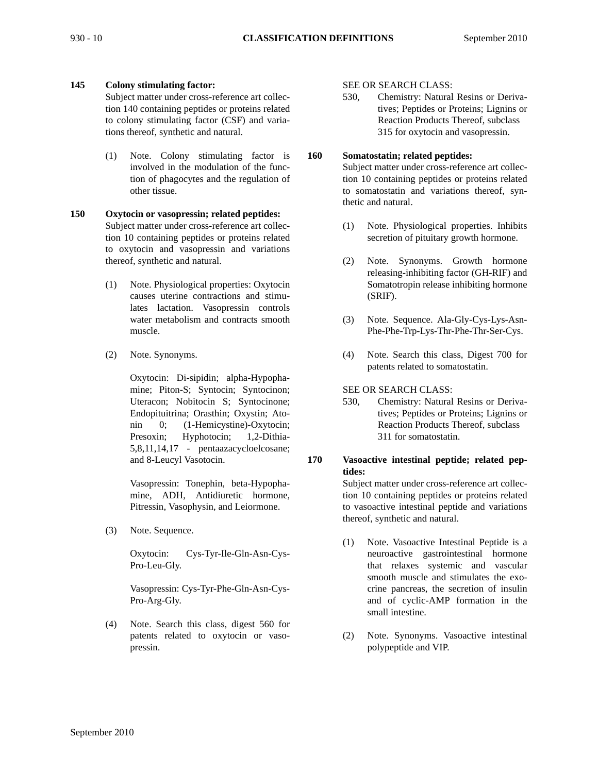# **145 Colony stimulating factor:**

Subject matter under cross-reference art collection 140 containing peptides or proteins related to colony stimulating factor (CSF) and variations thereof, synthetic and natural.

(1) Note. Colony stimulating factor is involved in the modulation of the function of phagocytes and the regulation of other tissue.

## **150 Oxytocin or vasopressin; related peptides:** Subject matter under cross-reference art collection 10 containing peptides or proteins related to oxytocin and vasopressin and variations thereof, synthetic and natural.

- (1) Note. Physiological properties: Oxytocin causes uterine contractions and stimulates lactation. Vasopressin controls water metabolism and contracts smooth muscle.
- (2) Note. Synonyms.

Oxytocin: Di-sipidin; alpha-Hypophamine; Piton-S; Syntocin; Syntocinon; Uteracon; Nobitocin S; Syntocinone; Endopituitrina; Orasthin; Oxystin; Atonin 0; (1-Hemicystine)-Oxytocin; Presoxin; Hyphotocin; 1,2-Dithia-5,8,11,14,17 - pentaazacycloelcosane; and 8-Leucyl Vasotocin.

Vasopressin: Tonephin, beta-Hypophamine, ADH, Antidiuretic hormone, Pitressin, Vasophysin, and Leiormone.

(3) Note. Sequence.

Oxytocin: Cys-Tyr-Ile-Gln-Asn-Cys-Pro-Leu-Gly.

Vasopressin: Cys-Tyr-Phe-Gln-Asn-Cys-Pro-Arg-Gly.

(4) Note. Search this class, digest 560 for patents related to oxytocin or vasopressin.

#### SEE OR SEARCH CLASS:

530, Chemistry: Natural Resins or Derivatives; Peptides or Proteins; Lignins or Reaction Products Thereof, subclass 315 for oxytocin and vasopressin.

# **160 Somatostatin; related peptides:**

Subject matter under cross-reference art collection 10 containing peptides or proteins related to somatostatin and variations thereof, synthetic and natural.

- (1) Note. Physiological properties. Inhibits secretion of pituitary growth hormone.
- (2) Note. Synonyms. Growth hormone releasing-inhibiting factor (GH-RIF) and Somatotropin release inhibiting hormone (SRIF).
- (3) Note. Sequence. Ala-Gly-Cys-Lys-Asn-Phe-Phe-Trp-Lys-Thr-Phe-Thr-Ser-Cys.
- (4) Note. Search this class, Digest 700 for patents related to somatostatin.

SEE OR SEARCH CLASS:

530, Chemistry: Natural Resins or Derivatives; Peptides or Proteins; Lignins or Reaction Products Thereof, subclass 311 for somatostatin.

## **170 Vasoactive intestinal peptide; related peptides:**

Subject matter under cross-reference art collection 10 containing peptides or proteins related to vasoactive intestinal peptide and variations thereof, synthetic and natural.

- (1) Note. Vasoactive Intestinal Peptide is a neuroactive gastrointestinal hormone that relaxes systemic and vascular smooth muscle and stimulates the exocrine pancreas, the secretion of insulin and of cyclic-AMP formation in the small intestine.
- (2) Note. Synonyms. Vasoactive intestinal polypeptide and VIP.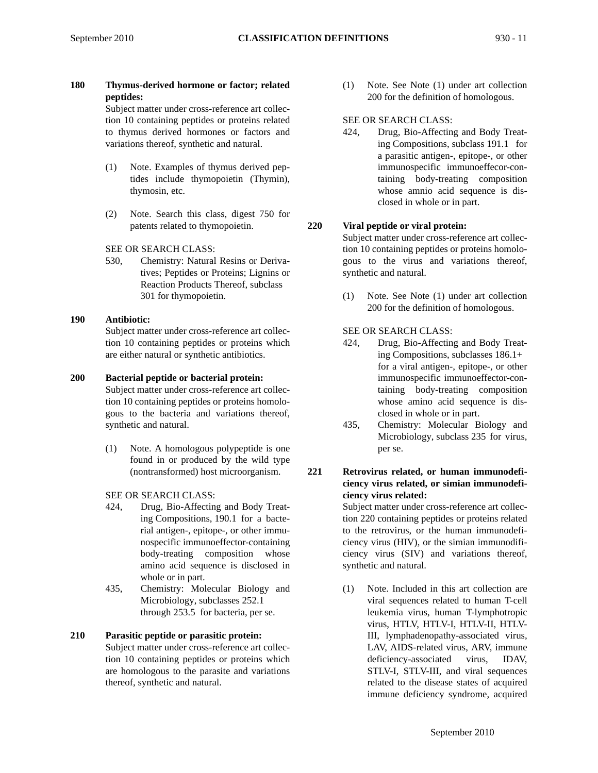**180 Thymus-derived hormone or factor; related peptides:**

Subject matter under cross-reference art collection 10 containing peptides or proteins related to thymus derived hormones or factors and variations thereof, synthetic and natural.

- (1) Note. Examples of thymus derived peptides include thymopoietin (Thymin), thymosin, etc.
- (2) Note. Search this class, digest 750 for patents related to thymopoietin.
- SEE OR SEARCH CLASS:
- 530, Chemistry: Natural Resins or Derivatives; Peptides or Proteins; Lignins or Reaction Products Thereof, subclass 301 for thymopoietin.
- **190 Antibiotic:** Subject matter under cross-reference art collection 10 containing peptides or proteins which are either natural or synthetic antibiotics.

# **200 Bacterial peptide or bacterial protein:**

- Subject matter under cross-reference art collection 10 containing peptides or proteins homologous to the bacteria and variations thereof, synthetic and natural.
	- (1) Note. A homologous polypeptide is one found in or produced by the wild type (nontransformed) host microorganism.
	- SEE OR SEARCH CLASS:
	- 424, Drug, Bio-Affecting and Body Treating Compositions, 190.1 for a bacterial antigen-, epitope-, or other immunospecific immunoeffector-containing body-treating composition whose amino acid sequence is disclosed in whole or in part.
	- 435, Chemistry: Molecular Biology and Microbiology, subclasses 252.1 through 253.5 for bacteria, per se.

# **210 Parasitic peptide or parasitic protein:**

Subject matter under cross-reference art collection 10 containing peptides or proteins which are homologous to the parasite and variations thereof, synthetic and natural.

(1) Note. See Note (1) under art collection 200 for the definition of homologous.

## SEE OR SEARCH CLASS:

424, Drug, Bio-Affecting and Body Treating Compositions, subclass 191.1 for a parasitic antigen-, epitope-, or other immunospecific immunoeffecor-containing body-treating composition whose amnio acid sequence is disclosed in whole or in part.

# **220 Viral peptide or viral protein:**

Subject matter under cross-reference art collection 10 containing peptides or proteins homologous to the virus and variations thereof, synthetic and natural.

(1) Note. See Note (1) under art collection 200 for the definition of homologous.

# SEE OR SEARCH CLASS:

- 424, Drug, Bio-Affecting and Body Treating Compositions, subclasses 186.1+ for a viral antigen-, epitope-, or other immunospecific immunoeffector-containing body-treating composition whose amino acid sequence is disclosed in whole or in part.
- 435, Chemistry: Molecular Biology and Microbiology, subclass 235 for virus, per se.
- **221 Retrovirus related, or human immunodeficiency virus related, or simian immunodeficiency virus related:**

Subject matter under cross-reference art collection 220 containing peptides or proteins related to the retrovirus, or the human immunodeficiency virus (HIV), or the simian immunodificiency virus (SIV) and variations thereof, synthetic and natural.

(1) Note. Included in this art collection are viral sequences related to human T-cell leukemia virus, human T-lymphotropic virus, HTLV, HTLV-I, HTLV-II, HTLV-III, lymphadenopathy-associated virus, LAV, AIDS-related virus, ARV, immune deficiency-associated virus, IDAV, STLV-I, STLV-III, and viral sequences related to the disease states of acquired immune deficiency syndrome, acquired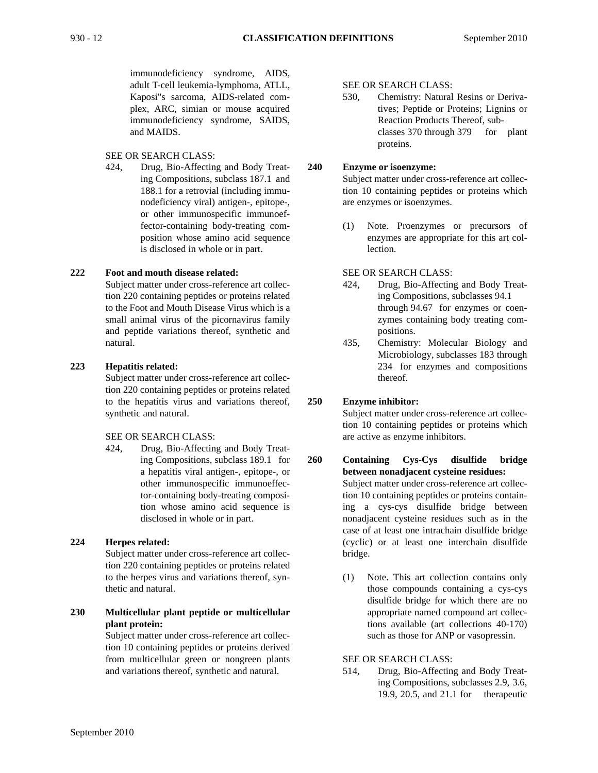immunodeficiency syndrome, AIDS, adult T-cell leukemia-lymphoma, ATLL, Kaposi"s sarcoma, AIDS-related complex, ARC, simian or mouse acquired immunodeficiency syndrome, SAIDS, and MAIDS.

# SEE OR SEARCH CLASS:

424, Drug, Bio-Affecting and Body Treating Compositions, subclass 187.1 and 188.1 for a retrovial (including immunodeficiency viral) antigen-, epitope-, or other immunospecific immunoeffector-containing body-treating composition whose amino acid sequence is disclosed in whole or in part.

#### **222 Foot and mouth disease related:**

Subject matter under cross-reference art collection 220 containing peptides or proteins related to the Foot and Mouth Disease Virus which is a small animal virus of the picornavirus family and peptide variations thereof, synthetic and natural.

# **223 Hepatitis related:**

Subject matter under cross-reference art collection 220 containing peptides or proteins related to the hepatitis virus and variations thereof, synthetic and natural.

SEE OR SEARCH CLASS:

424, Drug, Bio-Affecting and Body Treating Compositions, subclass 189.1 for a hepatitis viral antigen-, epitope-, or other immunospecific immunoeffector-containing body-treating composition whose amino acid sequence is disclosed in whole or in part.

# **224 Herpes related:**

Subject matter under cross-reference art collection 220 containing peptides or proteins related to the herpes virus and variations thereof, synthetic and natural.

**230 Multicellular plant peptide or multicellular plant protein:**

Subject matter under cross-reference art collection 10 containing peptides or proteins derived from multicellular green or nongreen plants and variations thereof, synthetic and natural.

SEE OR SEARCH CLASS:

530, Chemistry: Natural Resins or Derivatives; Peptide or Proteins; Lignins or Reaction Products Thereof, subclasses 370 through 379 for plant proteins.

## **240 Enzyme or isoenzyme:**

Subject matter under cross-reference art collection 10 containing peptides or proteins which are enzymes or isoenzymes.

(1) Note. Proenzymes or precursors of enzymes are appropriate for this art collection.

SEE OR SEARCH CLASS:

- 424, Drug, Bio-Affecting and Body Treating Compositions, subclasses 94.1 through 94.67 for enzymes or coenzymes containing body treating compositions.
- 435, Chemistry: Molecular Biology and Microbiology, subclasses 183 through 234 for enzymes and compositions thereof.

# **250 Enzyme inhibitor:**

Subject matter under cross-reference art collection 10 containing peptides or proteins which are active as enzyme inhibitors.

**260 Containing Cys-Cys disulfide bridge between nonadjacent cysteine residues:** Subject matter under cross-reference art collection 10 containing peptides or proteins containing a cys-cys disulfide bridge between nonadjacent cysteine residues such as in the case of at least one intrachain disulfide bridge (cyclic) or at least one interchain disulfide bridge.

> (1) Note. This art collection contains only those compounds containing a cys-cys disulfide bridge for which there are no appropriate named compound art collections available (art collections 40-170) such as those for ANP or vasopressin.

# SEE OR SEARCH CLASS:

514, Drug, Bio-Affecting and Body Treating Compositions, subclasses 2.9, 3.6, 19.9, 20.5, and 21.1 for therapeutic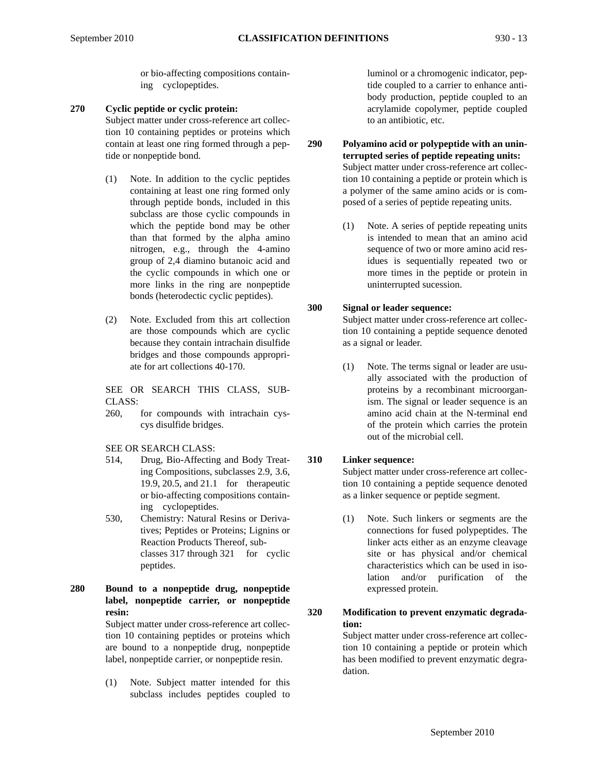or bio-affecting compositions containing cyclopeptides.

**270 Cyclic peptide or cyclic protein:**

Subject matter under cross-reference art collection 10 containing peptides or proteins which contain at least one ring formed through a peptide or nonpeptide bond.

- (1) Note. In addition to the cyclic peptides containing at least one ring formed only through peptide bonds, included in this subclass are those cyclic compounds in which the peptide bond may be other than that formed by the alpha amino nitrogen, e.g., through the 4-amino group of 2,4 diamino butanoic acid and the cyclic compounds in which one or more links in the ring are nonpeptide bonds (heterodectic cyclic peptides).
- (2) Note. Excluded from this art collection are those compounds which are cyclic because they contain intrachain disulfide bridges and those compounds appropriate for art collections 40-170.

SEE OR SEARCH THIS CLASS, SUB-CLASS:

260, for compounds with intrachain cyscys disulfide bridges.

SEE OR SEARCH CLASS:

- 514, Drug, Bio-Affecting and Body Treating Compositions, subclasses 2.9, 3.6, 19.9, 20.5, and 21.1 for therapeutic or bio-affecting compositions containing cyclopeptides.
- 530, Chemistry: Natural Resins or Derivatives; Peptides or Proteins; Lignins or Reaction Products Thereof, subclasses 317 through 321 for cyclic peptides.

**280 Bound to a nonpeptide drug, nonpeptide label, nonpeptide carrier, or nonpeptide resin:** Subject matter under cross-reference art collection 10 containing peptides or proteins which

are bound to a nonpeptide drug, nonpeptide label, nonpeptide carrier, or nonpeptide resin.

(1) Note. Subject matter intended for this subclass includes peptides coupled to

luminol or a chromogenic indicator, peptide coupled to a carrier to enhance antibody production, peptide coupled to an acrylamide copolymer, peptide coupled to an antibiotic, etc.

**290 Polyamino acid or polypeptide with an uninterrupted series of peptide repeating units:** Subject matter under cross-reference art collection 10 containing a peptide or protein which is a polymer of the same amino acids or is composed of a series of peptide repeating units.

> (1) Note. A series of peptide repeating units is intended to mean that an amino acid sequence of two or more amino acid residues is sequentially repeated two or more times in the peptide or protein in uninterrupted sucession.

# **300 Signal or leader sequence:**

Subject matter under cross-reference art collection 10 containing a peptide sequence denoted as a signal or leader.

(1) Note. The terms signal or leader are usually associated with the production of proteins by a recombinant microorganism. The signal or leader sequence is an amino acid chain at the N-terminal end of the protein which carries the protein out of the microbial cell.

# **310 Linker sequence:**

Subject matter under cross-reference art collection 10 containing a peptide sequence denoted as a linker sequence or peptide segment.

- (1) Note. Such linkers or segments are the connections for fused polypeptides. The linker acts either as an enzyme cleavage site or has physical and/or chemical characteristics which can be used in isolation and/or purification of the expressed protein.
- **320 Modification to prevent enzymatic degradation:**

Subject matter under cross-reference art collection 10 containing a peptide or protein which has been modified to prevent enzymatic degradation.